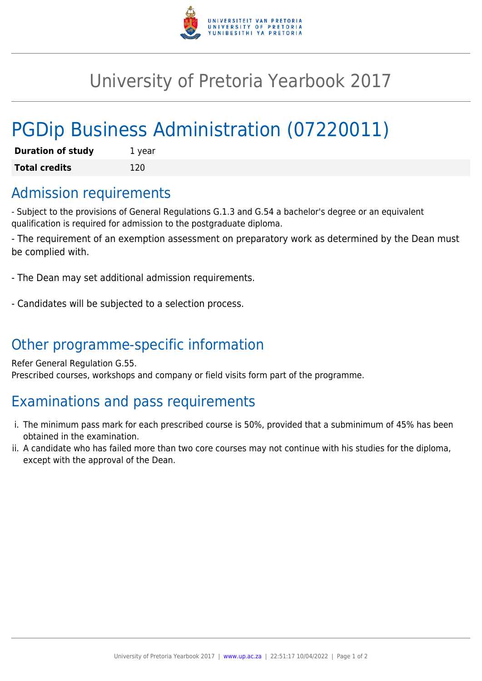

## University of Pretoria Yearbook 2017

# PGDip Business Administration (07220011)

| <b>Duration of study</b> | 1 year |
|--------------------------|--------|
| <b>Total credits</b>     | 120    |

#### Admission requirements

- Subject to the provisions of General Regulations G.1.3 and G.54 a bachelor's degree or an equivalent qualification is required for admission to the postgraduate diploma.

- The requirement of an exemption assessment on preparatory work as determined by the Dean must be complied with.

- The Dean may set additional admission requirements.

- Candidates will be subjected to a selection process.

## Other programme-specific information

Refer General Regulation G.55. Prescribed courses, workshops and company or field visits form part of the programme.

## Examinations and pass requirements

- i. The minimum pass mark for each prescribed course is 50%, provided that a subminimum of 45% has been obtained in the examination.
- ii. A candidate who has failed more than two core courses may not continue with his studies for the diploma, except with the approval of the Dean.